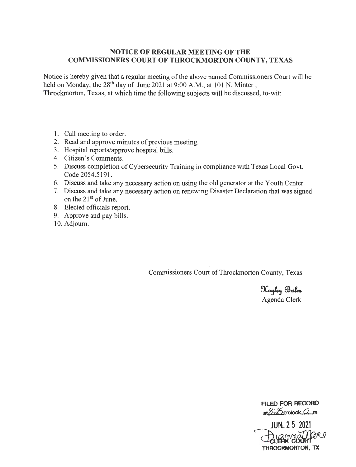# **NOTICE OF REGULAR MEETING OF THE COMMISSIONERS COURT OF THROCKMORTON COUNTY, TEXAS**

Notice is hereby given that a regular meeting of the above named Commissioners Court will be held on Monday, the 28<sup>th</sup> day of June 2021 at 9:00 A.M., at 101 N. Minter, Throckmorton, Texas, at which time the following subjects will be discussed, to-wit:

- 1. Call meeting to order.
- 2. Read and approve minutes of previous meeting.
- 3. Hospital reports/approve hospital bills.
- 4. Citizen's Comments.
- 5. Discuss completion of Cybersecurity Training in compliance with Texas Local Govt. Code 2054.5191.
- 6. Discuss and take any necessary action on using the old generator at the Youth Center.
- 7. Discuss and take any necessary action on renewing Disaster Declaration that was signed on the  $21<sup>st</sup>$  of June.
- 8. Elected officials report.
- 9. Approve and pay bills.
- 10. Adjourn.

Commissioners Court of Throckmorton County, Texas

Kayley Briles Agenda Clerk

**FILED FOR RECORD**  at 8:25 o'clock am

FILED FOR RECORD<br>at 220'clock 2 m<br>JUN 25 2021<br>CLERK COUFIT<br>THROCKMORTICM, TX **JUN.\_2 5 2021 THROCMMORTON, TX**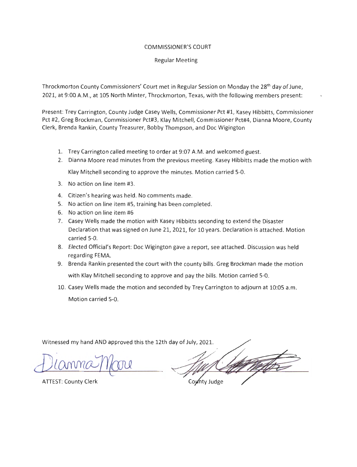### COMMISSIONER'S COURT

#### Regular Meeting

Throckmorton County Commissioners' Court met in Regular Session on Monday the 28<sup>th</sup> day of June, 2021, at 9:00 A.M ., at 105 North Minter, Throckmorton, Texas, with the following members present:

Present: Trey Carrington, County Judge Casey Wells, Commissioner Pct #1, Kasey Hibbitts, Commissioner Pct #2, Greg Brockman, Commissioner Pct#3, Klay Mitchell, Commissioner Pct#4, Dianna Moore, County Clerk, Brenda Rankin, County Treasurer, Bobby Thompson, and Doc Wigington

- 1. Trey Carrington called meeting to order at 9:07 A.M. and welcomed guest.
- 2. Dianna Moore read minutes from the previous meeting. Kasey Hibbitts made the motion with

Klay Mitchell seconding to approve the minutes. Motion carried 5-0.

- 3. No action on line item #3.
- 4. Citizen's hearing was held. No comments made.
- 5. No action on line item #5, training has been completed.
- 6. No action on line item #6
- 7. Casey Wells made the motion with Kasey Hibbitts seconding to extend the Disaster Declaration that was signed on June 21, 2021, for 10 years. Declaration is attached. Motion carried 5-0.
- 8. Elected Official's Report: Doc Wigington gave a report, see attached. Discussion was held regarding FEMA.
- 9. Brenda Rankin presented the court with the county bills. Greg Brockman made the motion with Klay Mitchell seconding to approve and pay the bills. Motion carried 5-0.
- 10. Casey Wells made the motion and seconded by Trey Carrington to adjourn at 10:05 a.m. Motion carried 5-0.

Witnessed my hand AND approved this the 12th day of July, 2021.

County Judge

**ATTEST: County Clerk**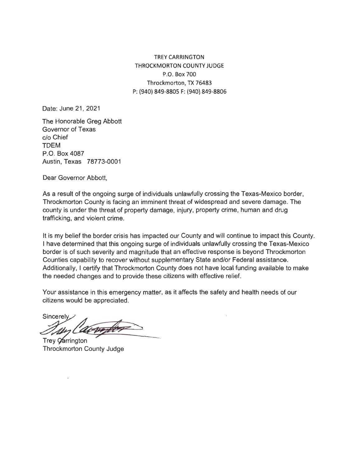TREY CARRINGTON THROCKMORTON COUNTY JUDGE P.O. Box 700 Throckmorton, TX 76483 P: {940) 849-8805 F: {940) 849-8806

Date: June 21, 2021

The Honorable Greg Abbott Governor of Texas c/o Chief TDEM P.O. Box 4087 Austin, Texas 78773-0001

Dear Governor Abbott,

As a result of the ongoing surge of individuals unlawfully crossing the Texas-Mexico border, Throckmorton County is facing an imminent threat of widespread and severe damage. The county is under the threat of property damage, injury, property crime, human and drug trafficking, and violent crime.

It is my belief the border crisis has impacted our County and will continue to impact this County. I have determined that this ongoing surge of individuals unlawfully crossing the Texas-Mexico border is of such severity and magnitude that an effective response is beyond Throckmorton Counties capability to recover without supplementary State and/or Federal assistance. Additionally, I certify that Throckmorton County does not have local funding available to make the needed changes and to provide these citizens with effective relief.

Your assistance in this emergency matter, as it affects the safety and health needs of our citizens would be appreciated.

Sincerely

Trey Oarrington **Throckmorton County Judge**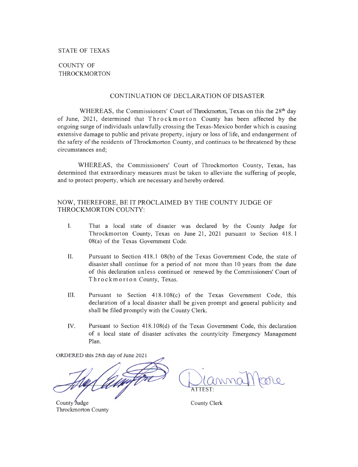## **STATE OF TEXAS**

# COUNTY OF THROCKMORTON

#### CONTINUATION OF DECLARATION OF DISASTER

WHEREAS, the Commissioners' Court of Throckmorton, Texas on this the  $28<sup>th</sup>$  day of June, 2021, determined that Throck morton County has been affected by the ongoing surge of individuals unlawfully crossing the Texas-Mexico border which is causing extensive damage to public and private property, injury or loss of life, and endangerment of the safety of the residents of Throckmorton County, and continues to be threatened by these circumstances and;

WHEREAS, the Commissioners' Court of Throckmorton County, Texas, has determined that extraordinary measures must be taken to alleviate the suffering of people, and to protect property, which are necessary and hereby ordered.

#### NOW, THEREFORE, BE IT PROCLAIMED BY THE COUNTY JUDGE OF THROCKMORTON COUNTY:

- I. That a local state of disaster was declared by the County Judge for Throckmorton County, Texas on June 21, 2021 pursuant to Section 418. 1  $08(a)$  of the Texas Government Code.
- II. Pursuant to Section 418 .1 08(b) of the Texas Government Code, the state of disaster shall continue for a period of not more than 10 years from the date of this declaration unless continued or renewed by the Commissioners' Court of Throckmorton County, Texas.
- III. Pursuant to Section 418 .108(c) of the Texas Government Code, this declaration of a local disaster shall be given prompt and general publicity and shall be filed promptly with the County Clerk.
- IV. Pursuant to Section  $418.108(d)$  of the Texas Government Code, this declaration of a local state of disaster activates the county/city Emergency Management Plan.

ORDERED this 28th day of June 2021

County Judge **Throckmorton County** 

**ATTEST:** 

County Clerk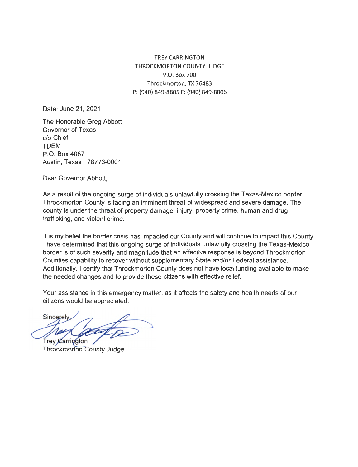TREY CARRINGTON THROCKMORTON COUNTY JUDGE P.O. Box 700 Throckmorton, TX 76483 P: (940) 849-8805 F: (940) 849-8806

Date: June 21, 2021

The Honorable Greg Abbott Governor of Texas c/o Chief TDEM P.O. Box 4087 Austin, Texas 78773-0001

Dear Governor Abbott,

As a result of the ongoing surge of individuals unlawfully crossing the Texas-Mexico border, Throckmorton County is facing an imminent threat of widespread and severe damage. The county is under the threat of property damage, injury, property crime, human and drug trafficking, and violent crime.

It is my belief the border crisis has impacted our County and will continue to impact this County. I have determined that this ongoing surge of individuals unlawfully crossing the Texas-Mexico border is of such severity and magnitude that an effective response is beyond Throckmorton Counties capability to recover without supplementary State and/or Federal assistance. Additionally, I certify that Throckmorton County does not have local funding available to make the needed changes and to provide these citizens with effective relief.

Your assistance in this emergency matter, as it affects the safety and health needs of our citizens would be appreciated.

Sincerely **Trey Carrington** 

Throckmorton County Judge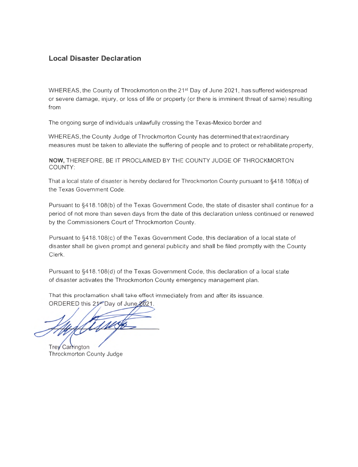# **Local Disaster Declaration**

WHEREAS, the County of Throckmorton on the 21<sup>st</sup> Day of June 2021, has suffered widespread or severe damage, injury, or loss of life or property (or there is imminent threat of same) resulting from

The ongoing surge of individuals unlawfully crossing the Texas-Mexico border and

WHEREAS, the County Judge of Throckmorton County has determined that extraordinary measures must be taken to alleviate the suffering of people and to protect or rehabilitate property,

**NOW,** THEREFORE, BE IT PROCLAIMED BY THE COUNTY JUDGE OF THROCKMORTON COUNTY:

That a local state of disaster is hereby declared for Throckmorton County pursuant to §418.108(a) of the Texas Government Code.

Pursuant to §418.108(b) of the Texas Government Code, the state of disaster shall continue for a period of not more than seven days from the date of this declaration unless continued or renewed by the Commissioners Court of Throckmorton County.

Pursuant to §418.108(c) of the Texas Government Code, this declaration of a local state of disaster shall be given prompt and general publicity and shall be filed promptly with the County Clerk.

Pursuant to §418.108(d) of the Texas Government Code, this declaration of a local state of disaster activates the Throckmorton County emergency management plan.

That this proclamation shall take effect immediately from and after its issuance.

ORDERED this 21<sup>st</sup> Day of June 2021.

Trey Carrington **Throckmorton County Judge**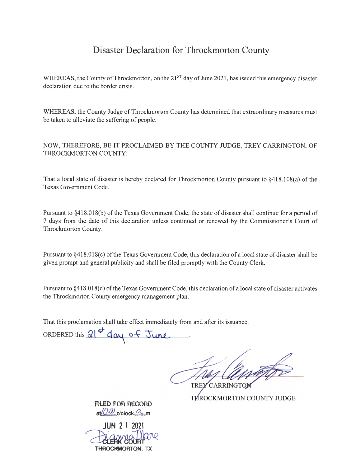# **Disaster Declaration for Throckmorton County**

WHEREAS, the County of Throckmorton, on the  $21<sup>ST</sup>$  day of June 2021, has issued this emergency disaster declaration due to the border crisis.

WHEREAS, the County Judge of Throckmorton County has determined that extraordinary measures must be taken to alleviate the suffering of people.

NOW, THEREFORE, BE IT PROCLAIMED BY THE COUNTY JUDGE, TREY CARRINGTON, OF THROCKMORTON COUNTY:

That a local state of disaster is hereby declared for Throckmorton County pursuant to §418.108(a) of the Texas Government Code.

Pursuant to §418.018(b) of the Texas Government Code, the state of disaster shall continue for a period of 7 days from the date of this declaration unless continued or renewed by the Commissioner's Court of Throckmorton County.

Pursuant to §41 8.018(c) of the Texas Government Code, this declaration of a local state of disaster shall be given prompt and general publicity and shall be filed promptly with the County Clerk.

Pursuant to §418.018(d) of the Texas Government Code, this declaration of a local state of disaster activates the Throckmorton County emergency management plan.

That this proclamation shall take effect immediately from and after its issuance.

ORDERED this  $21^{st}$  day of June

TREY CARRINGTOP THROCKMORTON COUNTY JUDGE

**Fil.ED FOR RECORD**   $a/$ *Q'* $\omega$ <sup>o'clock</sub>  $\alpha$ <sub>m</sub></sup>

**JUN 2 1 2021**  THROCKMORTON, TX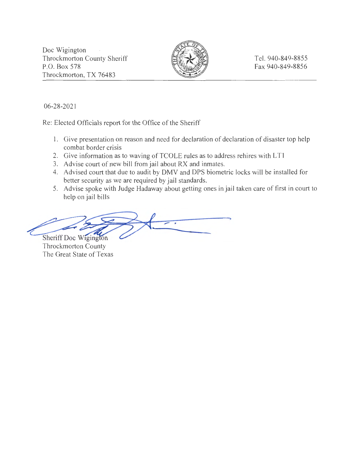Doc Wigington Throckmorton County Sheriff P.O. Box 578 Throckmorton, TX 76483



Tel. 940-849-8855 Fax 940-849-8856

06-28-2021

Re: Elected Officials report for the Office of the Sheriff

- 1. Give presentation on reason and need for declaration of declaration of disaster top help combat border crisis
- 2. Give information as to waving of TCOLE rules as to address rehires with LT1
- 3. Advise court of new bill from jail about RX and inmates.
- 4. Advised court that due to audit by DMV and DPS biometric locks will be installed for better security as we are required by jail standards.
- 5. Advise spoke with Judge Hadaway about getting ones in jail taken care of first in court to help on jail bills

better security as we are required by jail standards.<br>5. Advise spoke with Judge Hadaway about getting ones in j<br>help on jail bills<br>Sheriff Doc Wigington

Throckmorton County The Great State of Texas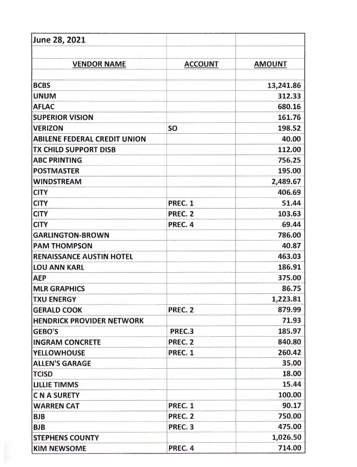| June 28, 2021                       |                |               |
|-------------------------------------|----------------|---------------|
|                                     |                |               |
| <b>VENDOR NAME</b>                  | <b>ACCOUNT</b> | <b>AMOUNT</b> |
| <b>BCBS</b>                         |                | 13,241.86     |
| <b>UNUM</b>                         |                | 312.33        |
| <b>AFLAC</b>                        |                | 680.16        |
| <b>SUPERIOR VISION</b>              |                | 161.76        |
| <b>VERIZON</b>                      | <b>SO</b>      | 198.52        |
| <b>ABILENE FEDERAL CREDIT UNION</b> |                | 40.00         |
| <b>TX CHILD SUPPORT DISB</b>        |                | 112.00        |
| <b>ABC PRINTING</b>                 |                | 756.25        |
| <b>POSTMASTER</b>                   |                | 195.00        |
| <b>WINDSTREAM</b>                   |                | 2,489.67      |
| <b>CITY</b>                         |                | 406.69        |
| <b>CITY</b>                         | PREC. 1        | 51.44         |
| <b>CITY</b>                         | PREC. 2        | 103.63        |
| <b>CITY</b>                         | PREC. 4        | 69.44         |
| <b>GARLINGTON-BROWN</b>             |                | 786.00        |
| <b>PAM THOMPSON</b>                 |                | 40.87         |
| <b>RENAISSANCE AUSTIN HOTEL</b>     |                | 463.03        |
| <b>LOU ANN KARL</b>                 |                | 186.91        |
| <b>AEP</b>                          |                | 375.00        |
| <b>MLR GRAPHICS</b>                 |                | 86.75         |
| <b>TXU ENERGY</b>                   |                | 1,223.81      |
| <b>GERALD COOK</b>                  | PREC. 2        | 879.99        |
| <b>HENDRICK PROVIDER NETWORK</b>    |                | 71.93         |
| <b>GEBO'S</b>                       | PREC.3         | 185.97        |
| <b>INGRAM CONCRETE</b>              | PREC. 2        | 840.80        |
| <b>YELLOWHOUSE</b>                  | PREC. 1        | 260.42        |
| <b>ALLEN'S GARAGE</b>               |                | 35.00         |
| <b>TCISD</b>                        |                | 18.00         |
| <b>LILLIE TIMMS</b>                 |                | 15.44         |
| <b>C N A SURETY</b>                 |                | 100.00        |
| <b>WARREN CAT</b>                   | PREC. 1        | 90.17         |
| <b>BJB</b>                          | PREC. 2        | 750.00        |
| <b>BJB</b>                          | PREC. 3        | 475.00        |
| <b>STEPHENS COUNTY</b>              |                | 1,026.50      |
| <b>KIM NEWSOME</b>                  | PREC. 4        | 714.00        |